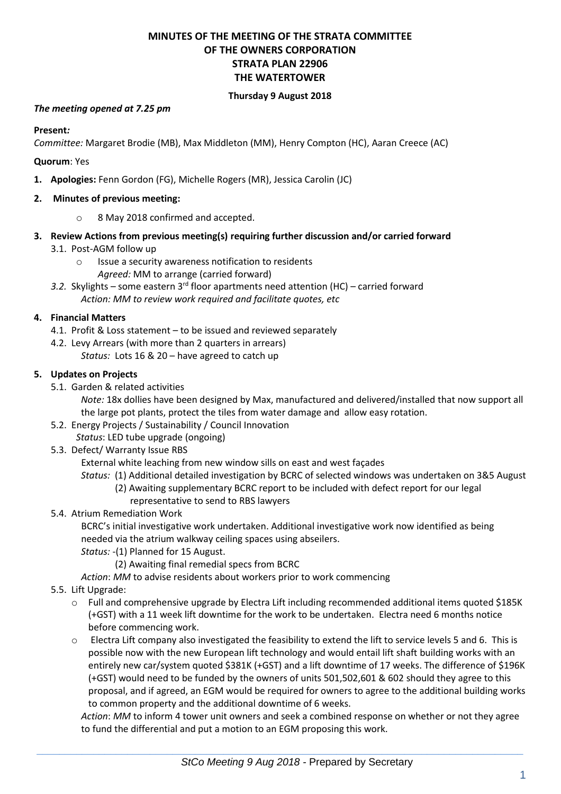# **MINUTES OF THE MEETING OF THE STRATA COMMITTEE OF THE OWNERS CORPORATION STRATA PLAN 22906 THE WATERTOWER**

### **Thursday 9 August 2018**

### *The meeting opened at 7.25 pm*

**Present***:*

*Committee:* Margaret Brodie (MB), Max Middleton (MM), Henry Compton (HC), Aaran Creece (AC)

**Quorum**: Yes

**1. Apologies:** Fenn Gordon (FG), Michelle Rogers (MR), Jessica Carolin (JC)

### **2. Minutes of previous meeting:**

- o 8 May 2018 confirmed and accepted.
- **3. Review Actions from previous meeting(s) requiring further discussion and/or carried forward**
	- 3.1. Post-AGM follow up
		- o Issue a security awareness notification to residents *Agreed:* MM to arrange (carried forward)
	- *3.2.* Skylights some eastern 3rd floor apartments need attention (HC) carried forward *Action: MM to review work required and facilitate quotes, etc*

### **4. Financial Matters**

- 4.1. Profit & Loss statement to be issued and reviewed separately
- 4.2. Levy Arrears (with more than 2 quarters in arrears)
	- *Status:* Lots 16 & 20 have agreed to catch up

### **5. Updates on Projects**

5.1. Garden & related activities

*Note:* 18x dollies have been designed by Max, manufactured and delivered/installed that now support all the large pot plants, protect the tiles from water damage and allow easy rotation.

- 5.2. Energy Projects / Sustainability / Council Innovation
- *Status*: LED tube upgrade (ongoing)
- 5.3. Defect/ Warranty Issue RBS

External white leaching from new window sills on east and west façades

- *Status:* (1) Additional detailed investigation by BCRC of selected windows was undertaken on 3&5 August
	- (2) Awaiting supplementary BCRC report to be included with defect report for our legal representative to send to RBS lawyers
- 5.4. Atrium Remediation Work
	- BCRC's initial investigative work undertaken. Additional investigative work now identified as being needed via the atrium walkway ceiling spaces using abseilers.
	- *Status:* -(1) Planned for 15 August.
		- (2) Awaiting final remedial specs from BCRC
	- *Action*: *MM* to advise residents about workers prior to work commencing
- 5.5. Lift Upgrade:
	- o Full and comprehensive upgrade by Electra Lift including recommended additional items quoted \$185K (+GST) with a 11 week lift downtime for the work to be undertaken. Electra need 6 months notice before commencing work.
	- o Electra Lift company also investigated the feasibility to extend the lift to service levels 5 and 6. This is possible now with the new European lift technology and would entail lift shaft building works with an entirely new car/system quoted \$381K (+GST) and a lift downtime of 17 weeks. The difference of \$196K (+GST) would need to be funded by the owners of units 501,502,601 & 602 should they agree to this proposal, and if agreed, an EGM would be required for owners to agree to the additional building works to common property and the additional downtime of 6 weeks.

*Action*: *MM* to inform 4 tower unit owners and seek a combined response on whether or not they agree to fund the differential and put a motion to an EGM proposing this work.

 $\_$  , and the set of the set of the set of the set of the set of the set of the set of the set of the set of the set of the set of the set of the set of the set of the set of the set of the set of the set of the set of th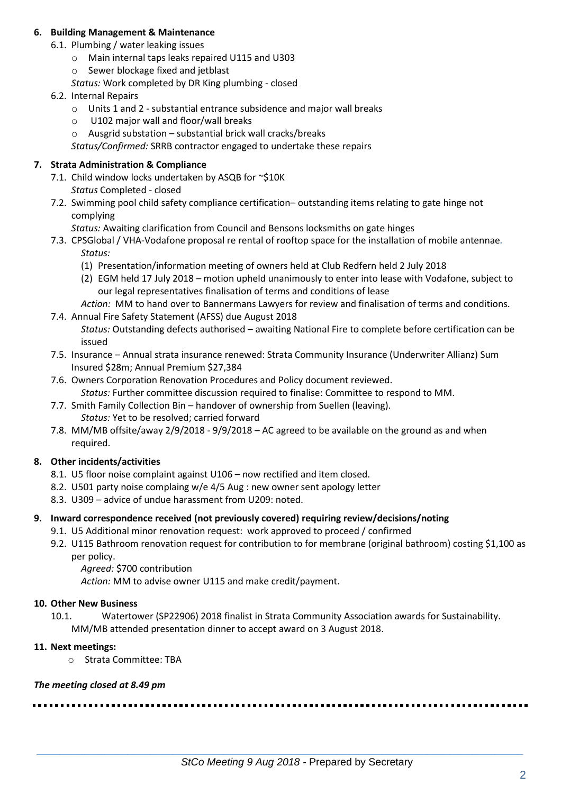### **6. Building Management & Maintenance**

- 6.1. Plumbing / water leaking issues
	- o Main internal taps leaks repaired U115 and U303
	- o Sewer blockage fixed and jetblast
	- *Status:* Work completed by DR King plumbing closed
- 6.2. Internal Repairs
	- o Units 1 and 2 substantial entrance subsidence and major wall breaks
	- o U102 major wall and floor/wall breaks
	- o Ausgrid substation substantial brick wall cracks/breaks
	- *Status/Confirmed:* SRRB contractor engaged to undertake these repairs

### **7. Strata Administration & Compliance**

- 7.1. Child window locks undertaken by ASQB for ~\$10K *Status* Completed - closed
- 7.2. Swimming pool child safety compliance certification– outstanding items relating to gate hinge not complying
	- *Status:* Awaiting clarification from Council and Bensons locksmiths on gate hinges
- 7.3. CPSGlobal / VHA-Vodafone proposal re rental of rooftop space for the installation of mobile antennae*. Status:*
	- (1) Presentation/information meeting of owners held at Club Redfern held 2 July 2018
	- (2) EGM held 17 July 2018 motion upheld unanimously to enter into lease with Vodafone, subject to our legal representatives finalisation of terms and conditions of lease
	- *Action:* MM to hand over to Bannermans Lawyers for review and finalisation of terms and conditions.
- 7.4. Annual Fire Safety Statement (AFSS) due August 2018
	- *Status:* Outstanding defects authorised awaiting National Fire to complete before certification can be issued
- 7.5. Insurance Annual strata insurance renewed: Strata Community Insurance (Underwriter Allianz) Sum Insured \$28m; Annual Premium \$27,384
- 7.6. Owners Corporation Renovation Procedures and Policy document reviewed. *Status:* Further committee discussion required to finalise: Committee to respond to MM.
- 7.7. Smith Family Collection Bin handover of ownership from Suellen (leaving). *Status:* Yet to be resolved; carried forward
- 7.8. MM/MB offsite/away 2/9/2018 9/9/2018 AC agreed to be available on the ground as and when required.

# **8. Other incidents/activities**

- 8.1. U5 floor noise complaint against U106 now rectified and item closed.
- 8.2. U501 party noise complaing w/e 4/5 Aug : new owner sent apology letter
- 8.3. U309 advice of undue harassment from U209: noted.

### **9. Inward correspondence received (not previously covered) requiring review/decisions/noting**

- 9.1. U5 Additional minor renovation request: work approved to proceed / confirmed
- 9.2. U115 Bathroom renovation request for contribution to for membrane (original bathroom) costing \$1,100 as per policy.
	- *Agreed:* \$700 contribution

*Action:* MM to advise owner U115 and make credit/payment.

### **10. Other New Business**

10.1. Watertower (SP22906) 2018 finalist in Strata Community Association awards for Sustainability. MM/MB attended presentation dinner to accept award on 3 August 2018.

### **11. Next meetings:**

o Strata Committee: TBA

### *The meeting closed at 8.49 pm*

 $\_$  , and the set of the set of the set of the set of the set of the set of the set of the set of the set of the set of the set of the set of the set of the set of the set of the set of the set of the set of the set of th *StCo Meeting 9 Aug 2018 -* Prepared by Secretary